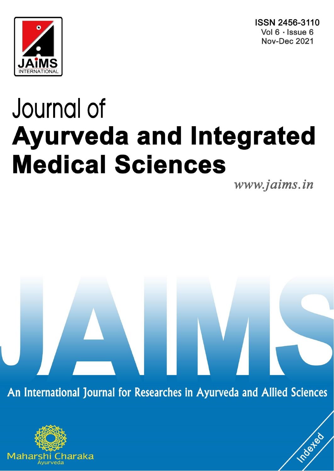ISSN 2456-3110 Vol 6 · Issue 6 **Nov-Dec 2021** 



# Journal of **Ayurveda and Integrated Medical Sciences**

www.jaims.in

**Indexed** 

An International Journal for Researches in Ayurveda and Allied Sciences

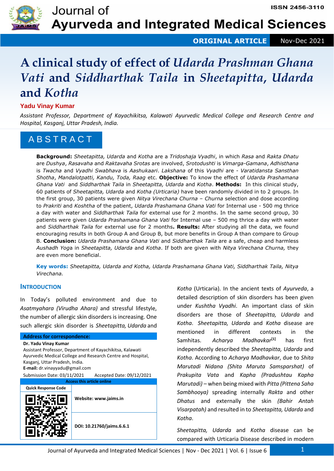

**ORIGINAL ARTICLE** Nov-Dec 2021

## **A clinical study of effect of** *Udarda Prashman Ghana Vati* **and** *Siddharthak Taila* **in** *Sheetapitta***,** *Udarda* **and** *Kotha*

#### **Yadu Vinay Kumar**

*Assistant Professor, Department of Kayachikitsa, Kalawati Ayurvedic Medical College and Research Centre and Hospital, Kasganj, Uttar Pradesh, India.*

### A B S T R A C T

**Background:** *Sheetapitta, Udarda* and *Kotha* are a *Tridoshaja Vyadhi*, in which *Rasa* and *Rakta Dhatu* are *Dushya*, *Rasavaha* and *Raktavaha Srotas* are involved, *Srotodushti* is *Vimarga-Gamana*, *Adhisthana* is *Twacha* and *Vyadhi Swabhava* is *Aashukaari*. *Lakshana* of this *Vyadhi* are - *Varatidansta Sansthan Shotha*, *Mandalotpatti, Kandu, Toda, Raag* etc. **Objective:** To know the effect of *Udarda Prashamana Ghana Vati* and *Siddharthak Taila* in *Sheetapitta, Udarda* and *Kotha*. **Methods:** In this clinical study, 60 patients of *Sheetapitta, Udarda* and *Kotha (Urticaria)* have been randomly divided in to 2 groups. In the first group, 30 patients were given *Nitya Virechana Churna* – *Churna* selection and dose according to *Prakriti* and *Koshtha* of the patient, *Udarda Prashamana Ghana Vati* for Internal use - 500 mg thrice a day with water and *Siddharthak Taila* for external use for 2 months. In the same second group, 30 patients were given *Udarda Prashamana Ghana Vati* for Internal use – 500 mg thrice a day with water and *Siddharthak Taila* for external use for 2 months**. Results:** After studying all the data, we found encouraging results in both Group A and Group B, but more benefits in Group A than compare to Group B. **Conclusion:** *Udarda Prashamana Ghana Vati* and *Siddharthak Taila* are a safe, cheap and harmless *Aushadh Yog*a in *Sheetapitta, Udarda* and *Kotha*. If both are given with *Nitya Virechana Churna,* they are even more beneficial.

**Key words:** *Sheetapitta, Udarda and Kotha, Udarda Prashamana Ghana Vati, Siddharthak Taila, Nitya Virechana.* 

#### **INTRODUCTION**

In Today's polluted environment and due to *Asatmyahara (Virudha Ahara)* and stressful lifestyle, the number of allergic skin disorders is increasing. One such allergic skin disorder is *Sheetapitta, Udarda* and

#### **Address for correspondence:**

**Dr. Yadu Vinay Kumar** Assistant Professor, Department of Kayachikitsa, Kalawati Ayurvedic Medical College and Research Centre and Hospital, Kasganj, Uttar Pradesh, India. **E-mail:** dr.vinayyadu@gmail.com Submission Date: 03/11/2021 Accepted Date: 09/12/2021 **Access this article online Quick Response Code Website: www.jaims.in**

**DOI: 10.21760/jaims.6.6.1**

*Kotha* (Urticaria). In the ancient texts of *Ayurveda*, a detailed description of skin disorders has been given under *Kushtha Vyadhi*. An important class of skin disorders are those of *Sheetapitta, Udarda* and *Kotha*. *Sheetapitta, Udarda* and *Kotha* disease are mentioned in different contexts in the Samhitas. *Acharya Madhavkar***[1]** has first independently described the *Sheetapitta, Udarda* and *Kotha*. According to *Acharya Madhavkar*, due to *Shita Marutadi Nidana (Shita Maruta Samsparshat)* of *Prakupita Vata* and *Kapha (Pradushtau Kapha Marutadi)* – when being mixed with *Pitta (Pittena Saha Sambhooya)* spreading internally *Rakta* and other *Dhatus* and externally the skin *(Bahir Antah Visarpatah)* and resulted in to *Sheetapitta, Udarda* and *Kotha*.

*Sheetapitta, Udarda* and *Kotha* disease can be compared with Urticaria Disease described in modern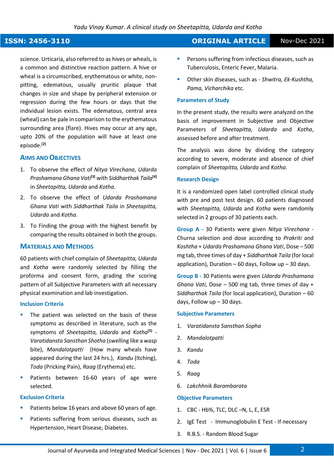science. Urticaria, also referred to as hives or wheals, is a common and distinctive reaction pattern. A hive or wheal is a circumscribed, erythematous or white, nonpitting, edematous, usually pruritic plaque that changes in size and shape by peripheral extension or regression during the few hours or days that the individual lesion exists. The edematous, central area (wheal) can be pale in comparison to the erythematous surrounding area (flare). Hives may occur at any age, upto 20% of the population will have at least one episode.**[2]**

#### **AIMS AND OBJECTIVES**

- 1. To observe the effect of *Nitya Virechana*, *Udarda Prashamana Ghana Vati***[3]** with *Siddharthak Taila***[4]** in *Sheetapitta, Udarda* and *Kotha*.
- 2. To observe the effect of *Udarda Prashamana Ghana Vati* with *Siddharthak Taila* in *Sheetapitta, Udarda* and *Kotha*.
- 3. To Finding the group with the highest benefit by comparing the results obtained in both the groups.

#### **MATERIALS AND METHODS**

60 patients with chief complain of *Sheetapitta, Udarda*  and *Kotha* were randomly selected by filling the proforma and consent form, grading the scoring pattern of all Subjective Parameters with all necessary physical examination and lab investigation.

#### **Inclusion Criteria**

- The patient was selected on the basis of these symptoms as described in literature, such as the symptoms of *Sheetapitta, Udarda* and *Kotha***[5]** - *Varatidansta Sansthan Shotha* (swelling like a wasp bite), *Mandalotpatti* (How many wheals have appeared during the last 24 hrs.), *Kandu* (Itching), *Toda* (Pricking Pain), *Raag* (Erythema) etc.
- Patients between 16-60 years of age were selected.

#### **Exclusion Criteria**

- Patients below 16 years and above 60 years of age.
- Patients suffering from serious diseases, such as Hypertension, Heart Disease, Diabetes.

### **ISSN: 2456-3110 CONSERVERTIES AND INCORDUCT ORIGINAL ARTICLE** Nov-Dec 2021

- **EXECTE:** Persons suffering from infectious diseases, such as Tuberculosis, Enteric Fever, Malaria.
- Other skin diseases, such as *Shwitra, Ek-Kushtha, Pama, Vicharchika* etc.

#### **Parameters of Study**

In the present study, the results were analyzed on the basis of improvement in Subjective and Objective Parameters of *Sheetapitta, Udarda* and *Kotha*, assessed before and after treatment.

The analysis was done by dividing the category according to severe, moderate and absence of chief complain of *Sheetapitta, Udarda* and *Kotha*.

#### **Research Design**

It is a randomized open label controlled clinical study with pre and post test design. 60 patients diagnosed with *Sheetapitta, Udarda* and *Kotha* were ramdomly selected in 2 groups of 30 patients each.

**Group A -** 30 Patients were given *Nitya Virechana* - Churna selection and dose according to *Prakriti* and *Koshtha* + *Udarda Prashamana Ghana Vati*, Dose – 500 mg tab, three times of day + *Siddharthak Taila* (for local application), Duration – 60 days, Follow up – 30 days.

**Group B -** 30 Patients were given *Udarda Prashamana Ghana Vati*, Dose – 500 mg tab, three times of day + *Siddharthak Taila* (for local application), Duration – 60 days, Follow up – 30 days.

#### **Subjective Parameters**

- 1. *Varatidansta Sansthan Sopha*
- 2. *Mandalotpatti*
- 3. *Kandu*
- 4. *Toda*
- 5. *Raag*
- 6. *Lakchhnik Barambarata*

#### **Objective Parameters**

- 1. CBC Hb%, TLC, DLC –N, L, E, ESR
- 2. IgE Test Immunoglobulin E Test If necessary
- 3. R.B.S. Random Blood Sugar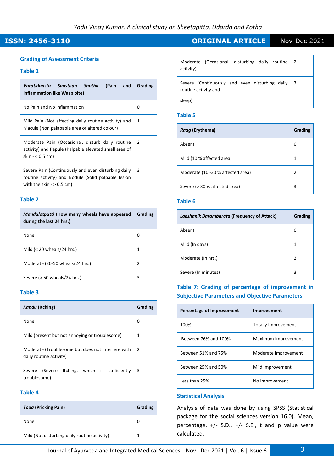#### **Grading of Assessment Criteria**

#### **Table 1**

| (Pain<br>Varatidansta Sansthan Shotha<br>and<br>Inflammation like Wasp bite)                                                              | Grading       |
|-------------------------------------------------------------------------------------------------------------------------------------------|---------------|
| No Pain and No Inflammation                                                                                                               | 0             |
| Mild Pain (Not affecting daily routine activity) and<br>Macule (Non palapable area of altered colour)                                     | 1             |
| Moderate Pain (Occasional, disturb daily routine<br>activity) and Papule (Palpable elevated small area of<br>skin $- < 0.5$ cm)           | $\mathcal{P}$ |
| Severe Pain (Continuously and even disturbing daily<br>routine activity) and Nodule (Solid palpable lesion<br>with the skin $-$ > 0.5 cm) | 3             |

#### **Table 2**

| Mandalotpatti (How many wheals have appeared<br>during the last 24 hrs.) | Grading |
|--------------------------------------------------------------------------|---------|
| None                                                                     | O       |
| Mild $(<$ 20 wheals/24 hrs.)                                             | 1       |
| Moderate (20-50 wheals/24 hrs.)                                          | 2       |
| Severe (> 50 wheals/24 hrs.)                                             | 3       |

#### **Table 3**

| Kandu (Itching)                                                              | Grading        |  |  |
|------------------------------------------------------------------------------|----------------|--|--|
| None                                                                         | O              |  |  |
| Mild (present but not annoying or troublesome)                               | 1              |  |  |
| Moderate (Troublesome but does not interfere with<br>daily routine activity) | $\overline{2}$ |  |  |
| Severe (Severe Itching, which is sufficiently<br>troublesome)                | 3              |  |  |

#### **Table 4**

| <b>Toda (Pricking Pain)</b>                  | Grading |
|----------------------------------------------|---------|
| None                                         | 0       |
| Mild (Not disturbing daily routine activity) | 1       |

### **ISSN: 2456-3110 CONSERVERTIES AND INCREDITE ARTICLE** Nov-Dec 2021

| Moderate (Occasional, disturbing daily routine<br>activity)            | $\overline{2}$ |
|------------------------------------------------------------------------|----------------|
| Severe (Continuously and even disturbing daily<br>routine activity and | - 3            |
| sleep)                                                                 |                |

#### **Table 5**

| Raag (Erythema)                   | Grading |
|-----------------------------------|---------|
| Absent                            | 0       |
| Mild (10 % affected area)         | 1       |
| Moderate (10 -30 % affected area) | 2       |
| Severe (> 30 % affected area)     | 3       |

#### **Table 6**

| Lakshanik Barambarata (Frequency of Attack) | Grading        |
|---------------------------------------------|----------------|
| Absent                                      | 0              |
| Mild (In days)                              | 1              |
| Moderate (In hrs.)                          | $\overline{2}$ |
| Severe (In minutes)                         | 3              |

#### **Table 7: Grading of percentage of improvement in Subjective Parameters and Objective Parameters.**

| Percentage of Improvement | Improvement          |
|---------------------------|----------------------|
| 100%                      | Totally Improvement  |
| Between 76% and 100%      | Maximum Improvement  |
| Between 51% and 75%       | Moderate Improvement |
| Between 25% and 50%       | Mild Improvement     |
| Less than 25%             | No Improvement       |

#### **Statistical Analysis**

Analysis of data was done by using SPSS (Statistical package for the social sciences version 16.0). Mean, percentage, +/- S.D., +/- S.E., t and p value were calculated.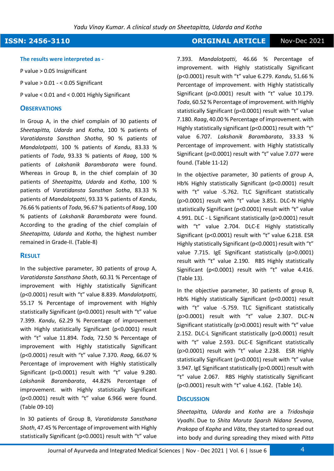### **ISSN: 2456-3110 CONSERVERTIES AND INCORDUCT ORIGINAL ARTICLE** Nov-Dec 2021

#### **The results were interpreted as -**

P value > 0.05 Insignificant

P value > 0.01 - < 0.05 Significant

P value < 0.01 and < 0.001 Highly Significant

#### **OBSERVATIONS**

In Group A, in the chief complain of 30 patients of *Sheetapitta, Udarda* and *Kotha*, 100 % patients of *Varatidansta Sansthan Shotha*, 90 % patients of *Mandalotpatti*, 100 % patients of *Kandu*, 83.33 % patients of *Toda*, 93.33 % patients of *Raag*, 100 % patients of *Lakshanik Barambarata* were found. Whereas in Group B, in the chief complain of 30 patients of *Sheetapitta, Udarda* and *Kotha*, 100 % patients of *Varatidansta Sansthan Sotha*, 83.33 % patients of *Mandalotpatti*, 93.33 % patients of *Kandu*, 76.66 % patients of *Toda*, 96.67 % patients of *Raag*, 100 % patients of *Lakshanik Barambarata* were found. According to the grading of the chief complain of *Sheetapitta, Udarda* and *Kotha*, the highest number remained in Grade-II. (Table-8)

#### **RESULT**

In the subjective parameter, 30 patients of group A, *Varatidansta Sansthana Shoth*, 60.31 % Percentage of improvement with Highly statistically Significant (p<0.0001) result with "t" value 8.839. *Mandalotpatti*, 55.17 % Percentage of improvement with Highly statistically Significant (p<0.0001) result with "t" value 7.399. *Kandu*, 62.29 % Percentage of improvement with Highly statistically Significant (p<0.0001) result with "t" value 11.894. *Toda,* 72.50 % Percentage of improvement with Highly statistically Significant (p<0.0001) result with "t" value 7.370. *Raag,* 66.07 % Percentage of improvement with Highly statistically Significant (p<0.0001) result with "t" value 9.280. *Lakshanik Barambarata*, 44.82% Percentage of improvement. with Highly statistically Significant (p<0.0001) result with "t" value 6.966 were found. (Table 09-10)

In 30 patients of Group B, *Varatidansta Sansthana Shoth*, 47.45 % Percentage of improvement with Highly statistically Significant (p<0.0001) result with "t" value

7.393. *Mandalotpatti*, 46.66 % Percentage of improvement. with Highly statistically Significant (p<0.0001) result with "t" value 6.279. *Kandu*, 51.66 % Percentage of improvement. with Highly statistically Significant (p<0.0001) result with "t" value 10.179. *Toda*, 60.52 % Percentage of improvement. with Highly statistically Significant (p<0.0001) result with "t" value 7.180. *Raag*, 40.00 % Percentage of improvement. with Highly statistically significant (p<0.0001) result with "t" value 6.707. *Lakshanik Barambarata*, 33.33 % Percentage of improvement. with Highly statistically Significant (p<0.0001) result with "t" value 7.077 were found. (Table 11-12)

In the objective parameter, 30 patients of group A, Hb% Highly statistically Significant (p<0.0001) result with "t" value -5.762. TLC Significant statistically (p>0.0001) result with "t" value 3.851. DLC-N Highly statistically Significant (p<0.0001) result with "t" value 4.991. DLC - L Significant statistically (p>0.0001) result with "t" value 2.704. DLC-E Highly statistically Significant (p<0.0001) result with "t" value 6.218. ESR Highly statistically Significant (p<0.0001) result with "t" value 7.715. IgE Significant statistically (p>0.0001) result with "t" value 2.190. RBS Highly statistically Significant (p<0.0001) result with "t" value 4.416. (Table 13).

In the objective parameter, 30 patients of group B, Hb% Highly statistically Significant (p<0.0001) result with "t" value -5.759. TLC Significant statistically (p>0.0001) result with "t" value 2.307. DLC-N Significant statistically (p>0.0001) result with "t" value 2.152. DLC-L Significant statistically (p>0.0001) result with "t" value 2.593. DLC-E Significant statistically (p>0.0001) result with "t" value 2.238. ESR Highly statistically Significant (p<0.0001) result with "t" value 3.947. IgE Significant statistically (p>0.0001) result with "t" value 2.067. RBS Highly statistically Significant (p<0.0001) result with "t" value 4.162. (Table 14).

#### **DISCUSSION**

*Sheetapitta, Udarda* and *Kotha* are a *Tridoshaja Vyadhi*. Due to *Shita Maruta Sparsh Nidana Sevana*, *Prakopa* of *Kapha* and *Vāta*, they started to spread out into body and during spreading they mixed with *Pitta*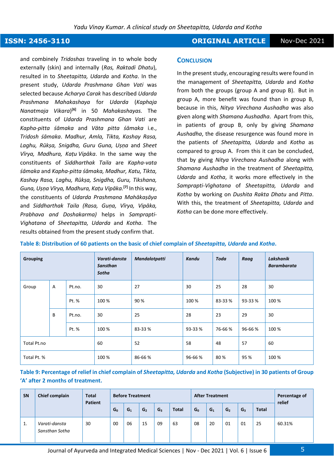#### **ISSN: 2456-3110 CONSERVERTIES AND INCORDUCT ORIGINAL ARTICLE** Nov-Dec 2021

and combinely *Tridoshas* traveling in to whole body externally (skin) and internally (*Ras, Raktadi Dhatu*), resulted in to *Sheetapitta, Udarda* and *Kotha*. In the present study, *Udarda Prashmana Ghan Vati* was selected because *Acharya Carak* has described *Udarda Prashmana Mahakashaya* for *Udarda* (*Kaphaja Nanatmaja Vikara*) **[6]** in 50 *Mahakashayas.* The constituents of *Udarda Prashmana Ghan Vati* are *Kapha-pitta śāmaka* and *Vāta pitta śāmaka* i.e., *Tridosh śāmaka*. *Madhur, Amla, Tikta, Kashay Rasa, Laghu, Rūkṣa, Snigdha, Guru Guna, Uṣṇa* and *Sheet Vīrya, Madhura, Kaṭu Vipāka*. In the same way the constituents of *Siddharthak Taila* are *Kapha-vata śāmaka* and *Kapha-pitta śāmaka, Madhur, Katu, Tikta, Kashay Rasa, Laghu, Rūkṣa, Snigdha, Guru, Tikshana, Guna, Uṣṇa Vīrya, Madhura, Kaṭu Vipāka.***[7]** In this way, the constituents of *Udarda Prashmana Mahākaṣāya* and *Siddharthak Taila (Rasa, Guṇa, Vīrya, Vipāka, Prabhava and Doshakarma)* helps in *Samprapti-Vighatana* of *Sheetapitta, Udarda* and *Kotha*. The results obtained from the present study confirm that.

#### **CONCLUSION**

In the present study, encouraging results were found in the management of *Sheetapitta, Udarda* and *Kotha* from both the groups (group A and group B). But in group A, more benefit was found than in group B, because in this, *Nitya Virechana Aushadha* was also given along with *Shamana Aushadha*. Apart from this, in patients of group B, only by giving *Shamana Aushadha*, the disease resurgence was found more in the patients of *Sheetapitta, Udarda* and *Kotha* as compared to group A. From this it can be concluded, that by giving *Nitya Virechana Aushadha* along with *Shamana Aushadha* in the treatment of *Sheetapitta, Udarda* and *Kotha*, it works more effectively in the *Samprapti-Vighatana* of *Sheetapitta, Udarda* and *Kotha* by working on *Dushita Rakta Dhatu* and *Pitta*. With this, the treatment of *Sheetapitta, Udarda* and *Kotha* can be done more effectively.

**Table 8: Distribution of 60 patients on the basic of chief complain of** *Sheetapitta, Udarda* **and** *Kotha***.** 

| <b>Grouping</b> |             |        | Varati-dansta<br><b>Sansthan</b><br>Sotha | Mandalotpatti | <b>Kandu</b> | Toda   | Raag    | Lakshanik<br><b>Barambarata</b> |
|-----------------|-------------|--------|-------------------------------------------|---------------|--------------|--------|---------|---------------------------------|
| Group           | Pt.no.<br>A |        | 30                                        | 27            | 30           | 25     | 28      | 30                              |
|                 |             | Pt. %  | 100 %                                     | 90%           | 100 %        | 83-33% | 93-33 % | 100 %                           |
|                 | B           | Pt.no. | 30                                        | 25            | 28           | 23     | 29      | 30                              |
|                 |             | Pt. %  | 100 %                                     | 83-33%        | 93-33 %      | 76-66% | 96-66 % | 100 %                           |
| Total Pt.no     |             | 60     | 52                                        | 58            | 48           | 57     | 60      |                                 |
| Total Pt. %     |             |        | 100 %                                     | 86-66%        | 96-66%       | 80%    | 95 %    | 100 %                           |

**Table 9: Percentage of relief in chief complain of** *Sheetapitta, Udarda* **and** *Kotha* **(Subjective) in 30 patients of Group 'A' after 2 months of treatment.**

| <b>SN</b> | <b>Chief complain</b>           | <b>Total</b><br><b>Patient</b> |       | <b>Before Treatment</b><br><b>After Treatment</b> |                |                |              |       |       | Percentage of<br>relief |       |              |        |
|-----------|---------------------------------|--------------------------------|-------|---------------------------------------------------|----------------|----------------|--------------|-------|-------|-------------------------|-------|--------------|--------|
|           |                                 |                                | $G_0$ | $G_1$                                             | G <sub>2</sub> | G <sub>3</sub> | <b>Total</b> | $G_0$ | $G_1$ | G <sub>2</sub>          | $G_3$ | <b>Total</b> |        |
| ı.        | Varati-dansta<br>Sansthan Sotha | 30                             | 00    | 06                                                | 15             | 09             | 63           | 08    | 20    | 01                      | 01    | 25           | 60.31% |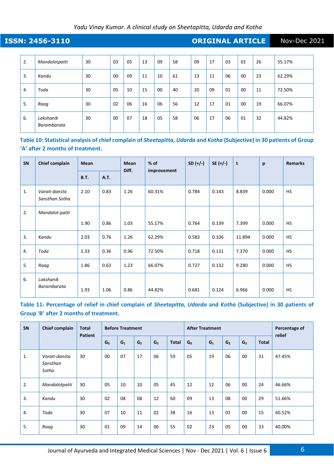### **ISSN: 2456-3110 CONSERVERTIES AND INCREDITE ARTICLE** Nov-Dec 2021

| 2. | Mandalotpatti            | 30 | 03 | 05 | 13 | 09 | 58 | 09 | 17 | 03 | 01 | 26 | 55.17% |
|----|--------------------------|----|----|----|----|----|----|----|----|----|----|----|--------|
| 3. | Kandu                    | 30 | 00 | 09 | 11 | 10 | 61 | 13 | 11 | 06 | 00 | 23 | 62.29% |
| 4. | Toda                     | 30 | 05 | 10 | 15 | 00 | 40 | 20 | 09 | 01 | 00 | 11 | 72.50% |
| 5. | Raag                     | 30 | 02 | 06 | 16 | 06 | 56 | 12 | 17 | 01 | 00 | 19 | 66.07% |
| 6. | Lakshanik<br>Barambarata | 30 | 00 | 07 | 18 | 05 | 58 | 06 | 17 | 06 | 01 | 32 | 44.82% |

**Table 10: Statistical analysis of chief complain of** *Sheetapitta, Udarda* **and** *Kotha* **(Subjective) in 30 patients of Group 'A' after 2 months of treatment.**

| SN | Chief complain                  | <b>Mean</b> |             | % of<br><b>Mean</b><br>Diff.<br>improvement |        | $SD (+/-)$ | $SE (+/-)$ | t      | p     | <b>Remarks</b> |
|----|---------------------------------|-------------|-------------|---------------------------------------------|--------|------------|------------|--------|-------|----------------|
|    |                                 | <b>B.T.</b> | <b>A.T.</b> |                                             |        |            |            |        |       |                |
| 1. | Varati-dansta<br>Sansthan Sotha | 2.10        | 0.83        | 1.26                                        | 60.31% | 0.784      | 0.143      | 8.839  | 0.000 | <b>HS</b>      |
| 2. | Mandalot-patti                  |             |             |                                             |        |            |            |        |       |                |
|    |                                 | 1.90        | 0.86        | 1.03                                        | 55.17% | 0.764      | 0.139      | 7.399  | 0.000 | <b>HS</b>      |
| 3. | Kandu                           | 2.03        | 0.76        | 1.26                                        | 62.29% | 0.583      | 0.106      | 11.894 | 0.000 | <b>HS</b>      |
| 4. | Toda                            | 1.33        | 0.36        | 0.96                                        | 72.50% | 0.718      | 0.131      | 7.370  | 0.000 | <b>HS</b>      |
| 5. | Raaq                            | 1.86        | 0.63        | 1.23                                        | 66.07% | 0.727      | 0.132      | 9.280  | 0.000 | <b>HS</b>      |
| 6. | Lakshanik<br>Barambarata        | 1.93        | 1.06        | 0.86                                        | 44.82% | 0.681      | 0.124      | 6.966  | 0.000 | <b>HS</b>      |

**Table 11: Percentage of relief in chief complain of** *Sheetapitta, Udarda* **and** *Kotha* **(Subjective) in 30 patients of Group 'B' after 2 months of treatment.**

| SN | Chief complain                     | <b>Total</b><br><b>Patient</b> | <b>Before Treatment</b> |                |                |                | <b>After Treatment</b> |                |                |                |                | Percentage of<br>relief |        |
|----|------------------------------------|--------------------------------|-------------------------|----------------|----------------|----------------|------------------------|----------------|----------------|----------------|----------------|-------------------------|--------|
|    |                                    |                                | G <sub>0</sub>          | G <sub>1</sub> | G <sub>2</sub> | G <sub>3</sub> | <b>Total</b>           | G <sub>0</sub> | G <sub>1</sub> | G <sub>2</sub> | G <sub>3</sub> | <b>Total</b>            |        |
| 1. | Varati-dansta<br>Sansthan<br>Sotha | 30                             | 00                      | 07             | 17             | 06             | 59                     | 05             | 19             | 06             | 00             | 31                      | 47.45% |
| 2. | Mandalotpatti                      | 30                             | 05                      | 10             | 10             | 05             | 45                     | 12             | 12             | 06             | 00             | 24                      | 46.66% |
| 3. | Kandu                              | 30                             | 02                      | 08             | 08             | 12             | 60                     | 09             | 13             | 08             | 00             | 29                      | 51.66% |
| 4. | Toda                               | 30                             | 07                      | 10             | 11             | 02             | 38                     | 16             | 13             | 01             | 00             | 15                      | 60.52% |
| 5. | Raaq                               | 30                             | 01                      | 09             | 14             | 06             | 55                     | 02             | 23             | 05             | 00             | 33                      | 40.00% |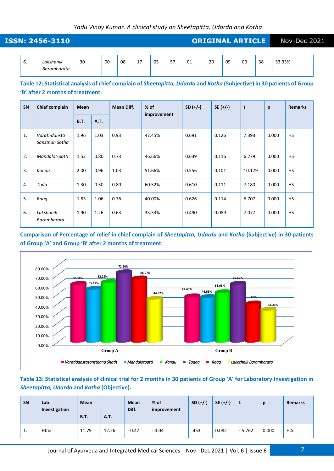|              | <b>ISSN: 2456-3110</b>                                                                                                                                     |             |             |            |    |             |    |            |       |            | <b>ORIGINAL ARTICLE</b> |    |       | Nov-Dec 2021   |  |
|--------------|------------------------------------------------------------------------------------------------------------------------------------------------------------|-------------|-------------|------------|----|-------------|----|------------|-------|------------|-------------------------|----|-------|----------------|--|
| 6.           | Lakshanik<br>Barambarata                                                                                                                                   | 30          | 00          | 08         | 17 | 05          | 57 | 01         | 20    | 09         | 00                      | 38 |       | 33.33%         |  |
|              | Table 12: Statistical analysis of chief complain of Sheetapitta, Udarda and Kotha (Subjective) in 30 patients of Group<br>'B' after 2 months of treatment. |             |             |            |    |             |    |            |       |            |                         |    |       |                |  |
| SN           | Chief complain                                                                                                                                             | <b>Mean</b> |             | Mean Diff. |    | $%$ of      |    | $SD (+/-)$ |       | $SE (+/-)$ | t                       |    | p     | <b>Remarks</b> |  |
|              |                                                                                                                                                            | <b>B.T.</b> | <b>A.T.</b> |            |    | improvement |    |            |       |            |                         |    |       |                |  |
| $\mathbf{1}$ | Varati-dansta<br>Sansthan Sotha                                                                                                                            | 1.96        | 1.03        | 0.93       |    | 47.45%      |    | 0.691      | 0.126 |            | 7.393                   |    | 0.000 | <b>HS</b>      |  |

3. *Kandu* 2.00 0.96 1.03 51.66% 0.556 0.101 10.179 0.000 HS

4. *| Toda* 1.30 0.80 60.52% 0.610 0.111 7.180 0.000 | HS

5. *Raag* 1.83 1.06 0.76 40.00% 0.626 0.114 6.707 0.000 HS

6. *Lakshanik* 

*Barambarata*

**Comparison of Percentage of relief in chief complain of** *Sheetapitta, Udarda* **and** *Kotha* **(Subjective) in 30 patients of Group 'A' and Group 'B' after 2 months of treatment.**

1.90 1.26 0.63 33.33% 0.490 0.089 7.077 0.000 HS



#### **Table 13: Statistical analysis of clinical trial for 2 months in 30 patients of Group 'A' for Laboratory Investigation in**  *Sheetapitta, Udarda* **and** *Kotha* **(Objective).**

| SN | Lab<br>Investigation | Mean        |             | <b>Mean</b><br>Diff. | $%$ of<br>improvement | $SD (+/-)$ | $SE (+/-)$ |          | p     | <b>Remarks</b> |  |
|----|----------------------|-------------|-------------|----------------------|-----------------------|------------|------------|----------|-------|----------------|--|
|    |                      | <b>B.T.</b> | <b>A.T.</b> |                      |                       |            |            |          |       |                |  |
| ı. | Hb%                  | 11.79       | 12.26       | $-0.47$              | $-4.04$               | .453       | 0.082      | $-5.762$ | 0.000 | H.S.           |  |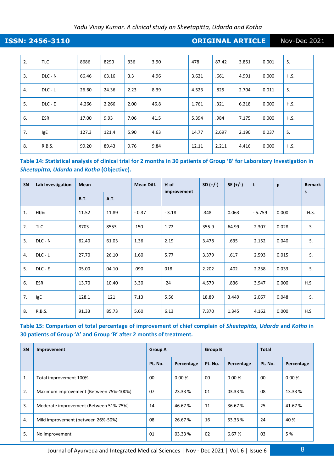**ISSN: 2456-3110 CONSERVERTIES AND INCREDITE ARTICLE** Nov-Dec 2021

2. TLC 8686 8290 336 3.90 478 87.42 3.851 0.001 S. 3. DLC - N 66.46 63.16 3.3 4.96 3.621 661 4.991 0.000 H.S. 4. | DLC - L | 26.60 | 24.36 | 2.23 | 8.39 | 4.523 | .825 | 2.704 | 0.011 | S. 5. DLC - E | 4.266 | 2.266 | 2.00 | 46.8 | 1.761 | .321 | 6.218 | 0.000 | H.S. 6. ESR 17.00 9.93 7.06 41.5 5.394 .984 7.175 0.000 H.S. 7. |IgE | 127.3 | 121.4 | 5.90 | 4.63 | 14.77 | 2.697 | 2.190 | 0.037 | S. 8. R.B.S. 99.20 89.43 9.76 9.84 12.11 2.211 4.416 0.000 H.S.

**Table 14: Statistical analysis of clinical trial for 2 months in 30 patients of Group 'B' for Laboratory Investigation in**  *Sheetapitta, Udarda* **and** *Kotha* **(Objective).**

| SN             | Lab Investigation | <b>Mean</b> |             | Mean Diff. | $%$ of      | $SD (+/-)$ | $SE (+/-)$ | t        | p     | <b>Remark</b> |
|----------------|-------------------|-------------|-------------|------------|-------------|------------|------------|----------|-------|---------------|
|                |                   | <b>B.T.</b> | <b>A.T.</b> |            | improvement |            |            |          |       | s             |
| $\mathbf{1}$ . | Hb%               | 11.52       | 11.89       | $-0.37$    | $-3.18$     | .348       | 0.063      | $-5.759$ | 0.000 | H.S.          |
| 2.             | <b>TLC</b>        | 8703        | 8553        | 150        | 1.72        | 355.9      | 64.99      | 2.307    | 0.028 | S.            |
| 3.             | DLC - N           | 62.40       | 61.03       | 1.36       | 2.19        | 3.478      | .635       | 2.152    | 0.040 | S.            |
| 4.             | $DLC - L$         | 27.70       | 26.10       | 1.60       | 5.77        | 3.379      | .617       | 2.593    | 0.015 | S.            |
| 5.             | $DLC - E$         | 05.00       | 04.10       | .090       | 018         | 2.202      | .402       | 2.238    | 0.033 | S.            |
| 6.             | <b>ESR</b>        | 13.70       | 10.40       | 3.30       | 24          | 4.579      | .836       | 3.947    | 0.000 | H.S.          |
| 7.             | IgE               | 128.1       | 121         | 7.13       | 5.56        | 18.89      | 3.449      | 2.067    | 0.048 | S.            |
| 8.             | R.B.S.            | 91.33       | 85.73       | 5.60       | 6.13        | 7.370      | 1.345      | 4.162    | 0.000 | H.S.          |

**Table 15: Comparison of total percentage of improvement of chief complain of** *Sheetapitta, Udarda* **and** *Kotha* **in 30 patients of Group 'A' and Group 'B' after 2 months of treatment.**

| SN | Improvement                            | <b>Group A</b> |            | <b>Group B</b> |            | <b>Total</b> |            |  |
|----|----------------------------------------|----------------|------------|----------------|------------|--------------|------------|--|
|    |                                        | Pt. No.        | Percentage | Pt. No.        | Percentage | Pt. No.      | Percentage |  |
| 1. | Total improvement 100%                 | 00             | 0.00%      | 00             | 0.00%      | 00           | $0.00\,\%$ |  |
| 2. | Maximum improvement (Between 75%-100%) | 07             | 23.33 %    | 01             | 03.33 %    | 08           | 13.33 %    |  |
| 3. | Moderate improvement (Between 51%-75%) | 14             | 46.67 %    | 11             | 36.67 %    | 25           | 41.67%     |  |
| 4. | Mild improvement (between 26%-50%)     | 08             | 26.67 %    | 16             | 53.33 %    | 24           | 40 %       |  |
| 5. | No improvement                         | 01             | 03.33 %    | 02             | 6.67 %     | 03           | 5 %        |  |